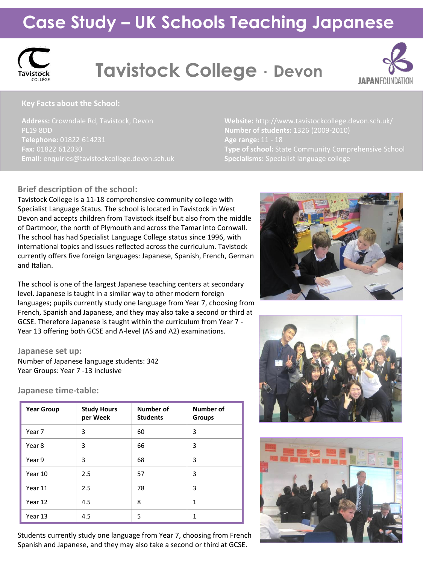## **Case Study – UK Schools Teaching Japanese**



# **Tavistock College** ・ **Devon**



#### **Key Facts about the School:**

**Address:** Crowndale Rd, Tavistock, Devon PL19 8DD **Telephone:** 01822 614231 **Fax:** 01822 612030

**Number of students:** 1326 (2009-2010) **Age range:** 11 - 18 **Type of school:** State Community Comprehensive School **Specialisms:** Specialist language college

#### **Brief description of the school:**

Tavistock College is a 11-18 comprehensive community college with Specialist Language Status. The school is located in Tavistock in West Devon and accepts children from Tavistock itself but also from the middle of Dartmoor, the north of Plymouth and across the Tamar into Cornwall. The school has had Specialist Language College status since 1996, with international topics and issues reflected across the curriculum. Tavistock currently offers five foreign languages: Japanese, Spanish, French, German and Italian.

The school is one of the largest Japanese teaching centers at secondary level. Japanese is taught in a similar way to other modern foreign languages; pupils currently study one language from Year 7, choosing from French, Spanish and Japanese, and they may also take a second or third at GCSE. Therefore Japanese is taught within the curriculum from Year 7 - Year 13 offering both GCSE and A-level (AS and A2) examinations.

#### **Japanese set up:**

Number of Japanese language students: 342 Year Groups: Year 7 -13 inclusive

#### **Japanese time-table:**

| <b>Year Group</b> | <b>Study Hours</b><br>per Week | Number of<br><b>Students</b> | Number of<br><b>Groups</b> |
|-------------------|--------------------------------|------------------------------|----------------------------|
| Year 7            | 3                              | 60                           | 3                          |
| Year 8            | 3                              | 66                           | 3                          |
| Year 9            | 3                              | 68                           | 3                          |
| Year 10           | 2.5                            | 57                           | 3                          |
| Year 11           | 2.5                            | 78                           | 3                          |
| Year 12           | 4.5                            | 8                            | $\mathbf{1}$               |
| Year 13           | 4.5                            | 5                            | 1                          |

Students currently study one language from Year 7, choosing from French Spanish and Japanese, and they may also take a second or third at GCSE.





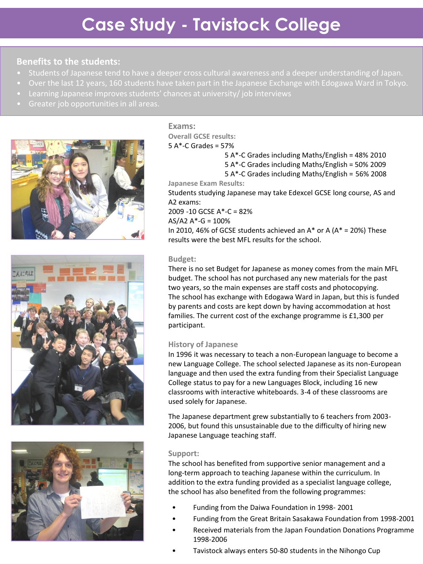#### **Benefits to the students:**

- 
- 
- 
- 







#### **Exams:**

**Overall GCSE results:**  $5$  A $*$ -C Grades = 57%

5 A\*-C Grades including Maths/English = 48% 2010

- 5 A\*-C Grades including Maths/English = 50% 2009
- 5 A\*-C Grades including Maths/English = 56% 2008

**Japanese Exam Results:**

Students studying Japanese may take Edexcel GCSE long course, AS and A2 exams:

2009 -10 GCSE A\*-C = 82%

 $AS/A2 A^* - G = 100\%$ 

In 2010, 46% of GCSE students achieved an  $A^*$  or A ( $A^*$  = 20%) These results were the best MFL results for the school.

#### **Budget:**

There is no set Budget for Japanese as money comes from the main MFL budget. The school has not purchased any new materials for the past two years, so the main expenses are staff costs and photocopying. The school has exchange with Edogawa Ward in Japan, but this is funded by parents and costs are kept down by having accommodation at host families. The current cost of the exchange programme is £1,300 per participant.

#### **History of Japanese**

In 1996 it was necessary to teach a non-European language to become a new Language College. The school selected Japanese as its non-European language and then used the extra funding from their Specialist Language College status to pay for a new Languages Block, including 16 new classrooms with interactive whiteboards. 3-4 of these classrooms are used solely for Japanese.

The Japanese department grew substantially to 6 teachers from 2003- 2006, but found this unsustainable due to the difficulty of hiring new Japanese Language teaching staff.

#### **Support:**

The school has benefited from supportive senior management and a long-term approach to teaching Japanese within the curriculum. In addition to the extra funding provided as a specialist language college, the school has also benefited from the following programmes:

- Funding from the Daiwa Foundation in 1998- 2001
- Funding from the Great Britain Sasakawa Foundation from 1998-2001
- Received materials from the Japan Foundation Donations Programme 1998-2006
- Tavistock always enters 50-80 students in the Nihongo Cup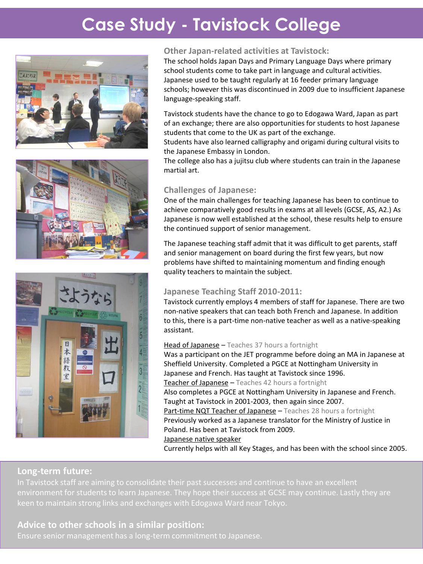### **Case Study - Tavistock College**







#### **Other Japan-related activities at Tavistock:**

The school holds Japan Days and Primary Language Days where primary school students come to take part in language and cultural activities. Japanese used to be taught regularly at 16 feeder primary language schools; however this was discontinued in 2009 due to insufficient Japanese language-speaking staff.

Tavistock students have the chance to go to Edogawa Ward, Japan as part of an exchange; there are also opportunities for students to host Japanese students that come to the UK as part of the exchange.

Students have also learned calligraphy and origami during cultural visits to the Japanese Embassy in London.

The college also has a jujitsu club where students can train in the Japanese martial art.

#### **Challenges of Japanese:**

One of the main challenges for teaching Japanese has been to continue to achieve comparatively good results in exams at all levels (GCSE, AS, A2.) As Japanese is now well established at the school, these results help to ensure the continued support of senior management.

The Japanese teaching staff admit that it was difficult to get parents, staff and senior management on board during the first few years, but now problems have shifted to maintaining momentum and finding enough quality teachers to maintain the subject.

#### **Japanese Teaching Staff 2010-2011:**

Tavistock currently employs 4 members of staff for Japanese. There are two non-native speakers that can teach both French and Japanese. In addition to this, there is a part-time non-native teacher as well as a native-speaking assistant.

#### Head of Japanese - Teaches 37 hours a fortnight

Was a participant on the JET programme before doing an MA in Japanese at Sheffield University. Completed a PGCE at Nottingham University in Japanese and French. Has taught at Tavistock since 1996. Teacher of Japanese - Teaches 42 hours a fortnight Also completes a PGCE at Nottingham University in Japanese and French. Taught at Tavistock in 2001-2003, then again since 2007. Part-time NQT Teacher of Japanese - Teaches 28 hours a fortnight Previously worked as a Japanese translator for the Ministry of Justice in Poland. Has been at Tavistock from 2009. Japanese native speaker

Currently helps with all Key Stages, and has been with the school since 2005.

#### **Long-term future: Long-term future:**

In Tavistock staff are aiming to consolidate their past successes and continue to have an excellent keen to maintain strong links and exchanges with Edogawa Ward near Tokyo.

### Advice to other schools in a similar position:<br>-

Ensure senior management has a long-term commitment to Japanese.